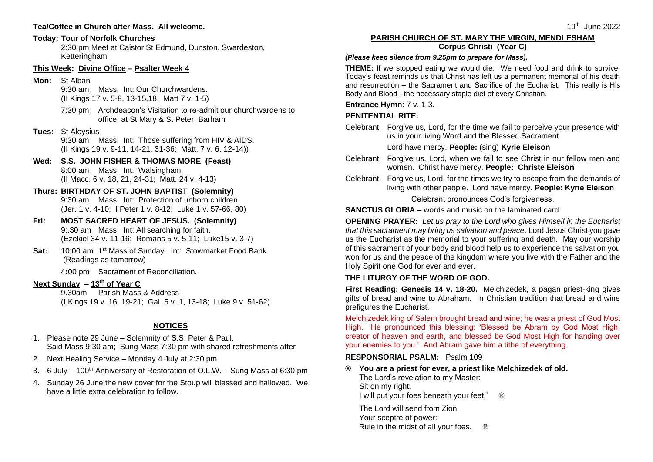#### **Tea/Coffee in Church after Mass. All welcome.**

#### **Today: Tour of Norfolk Churches**

2:30 pm Meet at Caistor St Edmund, Dunston, Swardeston, Ketteringham

## **This Week: Divine Office – Psalter Week 4**

**Mon:** St Alban

9:30 am Mass. Int: Our Churchwardens. (II Kings 17 v. 5-8, 13-15,18; Matt 7 v. 1-5)

7:30 pm Archdeacon's Visitation to re-admit our churchwardens to office, at St Mary & St Peter, Barham

# **Tues:** St Aloysius

9:30 am Mass. Int: Those suffering from HIV & AIDS. (II Kings 19 v. 9-11, 14-21, 31-36; Matt. 7 v. 6, 12-14))

- **Wed: S.S. JOHN FISHER & THOMAS MORE (Feast)** 8:00 am Mass. Int: Walsingham. (II Macc. 6 v. 18, 21, 24-31; Matt. 24 v. 4-13)
- **Thurs: BIRTHDAY OF ST. JOHN BAPTIST (Solemnity)** 9:30 am Mass. Int: Protection of unborn children (Jer. 1 v. 4-10; I Peter 1 v. 8-12; Luke 1 v. 57-66, 80)
- **Fri: MOST SACRED HEART OF JESUS. (Solemnity)** 9:.30 am Mass. Int: All searching for faith. (Ezekiel 34 v. 11-16; Romans 5 v. 5-11; Luke15 v. 3-7)
- Sat: 10:00 am 1<sup>st</sup> Mass of Sunday. Int: Stowmarket Food Bank. (Readings as tomorrow)

4**:**00 pm Sacrament of Reconciliation.

# **Next Sunday – 13th of Year C**

9.30am Parish Mass & Address (I Kings 19 v. 16, 19-21; Gal. 5 v. 1, 13-18; Luke 9 v. 51-62)

# **NOTICES**

- 1. Please note 29 June Solemnity of S.S. Peter & Paul. Said Mass 9:30 am; Sung Mass 7:30 pm with shared refreshments after
- 2. Next Healing Service Monday 4 July at 2:30 pm.
- 3. 6 July 100<sup>th</sup> Anniversary of Restoration of O.L.W. Sung Mass at 6:30 pm
- 4. Sunday 26 June the new cover for the Stoup will blessed and hallowed. We have a little extra celebration to follow.

# **PARISH CHURCH OF ST. MARY THE VIRGIN, MENDLESHAM Corpus Christi (Year C)**

#### *(Please keep silence from 9.25pm to prepare for Mass).*

**THEME:** If we stopped eating we would die. We need food and drink to survive. Today's feast reminds us that Christ has left us a permanent memorial of his death and resurrection – the Sacrament and Sacrifice of the Eucharist. This really is His Body and Blood - the necessary staple diet of every Christian.

# **Entrance Hymn**: 7 v. 1-3.

# **PENITENTIAL RITE:**

Celebrant: Forgive us, Lord, for the time we fail to perceive your presence with us in your living Word and the Blessed Sacrament.

Lord have mercy. **People:** (sing) **Kyrie Eleison**

- Celebrant: Forgive us, Lord, when we fail to see Christ in our fellow men and women. Christ have mercy. **People: Christe Eleison**
- Celebrant: Forgive us, Lord, for the times we try to escape from the demands of living with other people. Lord have mercy. **People: Kyrie Eleison**

Celebrant pronounces God's forgiveness.

**SANCTUS GLORIA** – words and music on the laminated card.

**OPENING PRAYER:** *Let us pray to the Lord who gives Himself in the Eucharist that this sacrament may bring us salvation and peace.* Lord Jesus Christ you gave us the Eucharist as the memorial to your suffering and death. May our worship of this sacrament of your body and blood help us to experience the salvation you won for us and the peace of the kingdom where you live with the Father and the Holy Spirit one God for ever and ever.

# **THE LITURGY OF THE WORD OF GOD.**

**First Reading: Genesis 14 v. 18-20.** Melchizedek, a pagan priest-king gives gifts of bread and wine to Abraham. In Christian tradition that bread and wine prefigures the Eucharist.

Melchizedek king of Salem brought bread and wine; he was a priest of God Most High. He pronounced this blessing: 'Blessed be Abram by God Most High, creator of heaven and earth, and blessed be God Most High for handing over your enemies to you.' And Abram gave him a tithe of everything.

#### **RESPONSORIAL PSALM:** Psalm 109

**® You are a priest for ever, a priest like Melchizedek of old.** The Lord's revelation to my Master: Sit on my right:

I will put your foes beneath your feet.' <sup>®</sup>

The Lord will send from Zion Your sceptre of power: Rule in the midst of all your foes.  $\circledR$